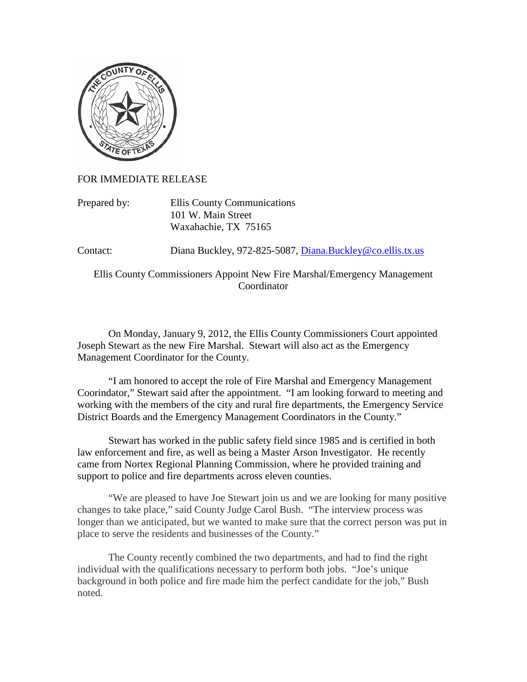

FOR IMMEDIATE RELEASE

Prepared by: Ellis County Communications 101 W. Main Street Waxahachie, TX 75165

Contact: Diana Buckley, 972-825-5087, [Diana.Buckley@co.ellis.tx.us](mailto:Diana.Buckley@co.ellis.tx.us)

Ellis County Commissioners Appoint New Fire Marshal/Emergency Management Coordinator

On Monday, January 9, 2012, the Ellis County Commissioners Court appointed Joseph Stewart as the new Fire Marshal. Stewart will also act as the Emergency Management Coordinator for the County.

"I am honored to accept the role of Fire Marshal and Emergency Management Coorindator," Stewart said after the appointment. "I am looking forward to meeting and working with the members of the city and rural fire departments, the Emergency Service District Boards and the Emergency Management Coordinators in the County."

Stewart has worked in the public safety field since 1985 and is certified in both law enforcement and fire, as well as being a Master Arson Investigator. He recently came from Nortex Regional Planning Commission, where he provided training and support to police and fire departments across eleven counties.

"We are pleased to have Joe Stewart join us and we are looking for many positive changes to take place," said County Judge Carol Bush. "The interview process was longer than we anticipated, but we wanted to make sure that the correct person was put in place to serve the residents and businesses of the County."

The County recently combined the two departments, and had to find the right individual with the qualifications necessary to perform both jobs. "Joe's unique background in both police and fire made him the perfect candidate for the job," Bush noted.